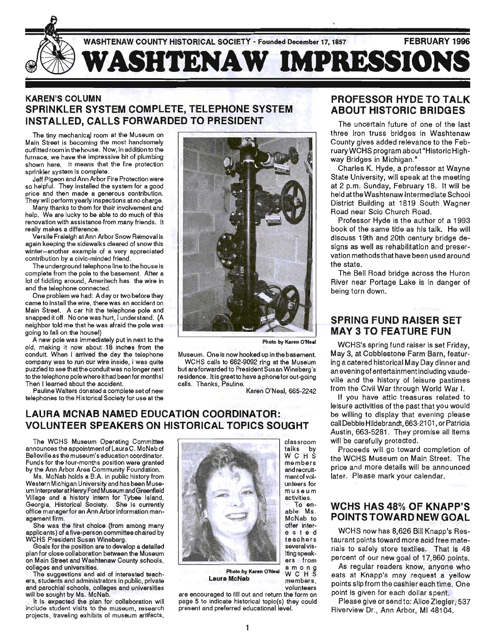

## KAREN'S COLUMN SPRINKLER SYSTEM COMPLETE, TELEPHONE SYSTEM INSTALLED, CALLS FORWARDED TO PRESIDENT

The tiny mechanical room at the Museum on Main Street is becoming the most handsomely outfitted room in the house. Now, in addition to the furnace, we have the impressive bit of plumbing shown here. It means that the fire protection sprinkler system is complete.

Jeff Pigeon and Ann Arbor Fire Protection were so helpful. They installed the system for a good price and then made a generous contribution. They will perform yearly inspections at no charge.

Many thanks to them for their involvement and help. We are lucky to be able to do much of this renovation with assistance from many friends. It really makes a difference.

Versile Fraleigh atAnn Arbor Snow Removal is again keeping the sidewalks cleared of snow this winter--another example of a very appreciated contribution by a civic-minded friend.

The underground telephone line to the house is complete from the pole to the basement. After a lot of fiddling around, Ameritech has the wire in and the telephone connected.

One problem we had: A day or two before they came to install the wire, there was an accident on Main Street. A car hit the telephone pole and snapped it off. No one was hurt, I understand. (A neighbor told me that he was afraid the pole was going to fall on the housel)

A new pole was immediately put in next to the old, making it now about 18 inches from the conduit. When I arrived the day the telephone company was to run our wire inside, I was quite puzzled to see that the conduit was no longer next to the telephone pole where ithad been for monthsl Then I learned about the accident.

Pauline Walters donated a complete set of new telephones to the Historical Society for use at the



Photo by Karen O'Neal

Museum. One is now hooked up in the basement. WCHS calls to 662-9092 ring at the Museum

but are forwarded to President Susan Wineberg's residence. Itis greatto have a phone for out-going

Karen O'Neal, 665-2242

## LAURA MCNAB NAMED EDUCATION COORDINATOR: VOLUNTEER SPEAKERS ON HISTORICAL TOPICS SOUGHT

The WCHS Museum Operating Committee announces the appointment of Laura C. McNab of Belleville as the museum's education coordinator. Funds for the four-months position were granted by the Ann Arbor Area Community Foundation.

Ms. McNab holds a B.A. in public history from Western Michigan University and has been Museum Interpreter at Henry Ford Museum and Greenfield Village and a history intern for Tybee Island, Georgia, Historical Society. She is currently office manager for an Ann Arbor information management firm.

She was the first choice (from among many applicants) of a five-person committee chaired by WCHS President Susan Wineberg.

Goals for the position are to develop a detailed plan for close collaboration between the Museum on Main Street and Washtenaw County schools, colleges and universities.

The suggestions and aid of interested teachers, students and administrators in public, private and parochial schools, colleges and universities will be sought by Ms. McNab.

It is expected the plan for collaboration will include student visits to the museum, research projects, traveling exhibits of museum artifacts,



calls. Thanks, Pauline.

museum activities. To enable Ms. McNab to offer inter-est e d e sted<br>teachers

classroom talks by WCHS members and recruitment of volunieers for

several visiting speakers from Photo by Karen O'Neal a m o n g Laura McNab members. volunteers

#### PROFESSOR HYDE TO TALK ABOUT HISTORIC BRIDGES

The uncertain future of one of the last three iron truss bridges in Washtenaw County gives added relevance to the FebruaryWCHS program about"Historic Highway Bridges in Michigan."

Charles K. Hyde, a professor at Wayne State University, will speak at the meeting at 2 p.m. Sunday, February 18. It will be held atthe Washtenaw Intermediate School District Building at 1819 South Wagner Road near Scio Church Road.

Professor Hyde is the author of a 1993 book of the same title as his talk. He will discuss 19th and 20th century bridge designs as well as rehabilitation and preservation methods that have been used around the state.

The Bell Road bridge across the Huron River near Portage Lake is in danger of being torn down.

#### SPRING FUND RAISER SET MAY 3 TO FEATURE FUN

WCHS's spring fund raiser is set Friday, May 3, at Cobblestone Farm Barn, featuring a catered historical May Day dinner and an evening of entertainment including vaudeville and the history of leisure pastimes from the Civil War through World War I.

If you have attic treasures related to leisure activities of the past that you would be willing to display that evening please call Debbie Hildebrandt, 663-2101, or Patricia Austin, 663-5281. They promise all items will be carefully protected.

Proceeds will go toward completion of the WCHS Museum on Main Street. The price and more details will be announced later. Please mark your calendar.

#### WCHS HAS 48% OF KNAPP'S POINTS TOWARD NEW GOAL

WCHS now has 8,626 Bill Knapp's Restaurant points toward more acid free materials to safely store textiles. That is 48 percent of our new goal of 17,860 points.

As regular readers know, anyone who eats at Knapp's may request a yellow points slip from the cashier each time. One point is given for each dollar spent.

Please give or send to: Alice Ziegler, 537 Riverview Dr., Ann Arbor, MI 48104.

are encouraged to fill out and return the form on page 5 to indicate historical topic(s) they could present and preferred educational level.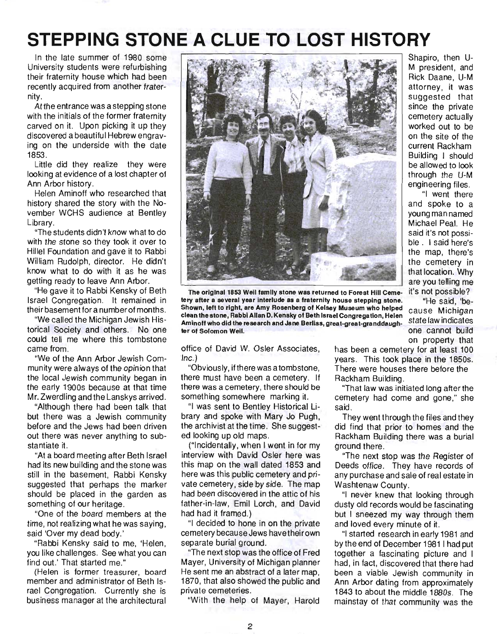# **STEPPING STONE A CLUE TO LOST HISTORY**

In the late summer of 1980 some University students were refurbishing their fraternity house which had been recently acquired from another fraternity.

At the entrance was a stepping stone with the initials of the former fraternity carved on it. Upon picking it up they discovered a beautiful Hebrew engraving on the underside with the date 1853.

Little did they realize they were looking at evidence of a lost chapter of Ann Arbor history.

Helen Aminoff who researched that history shared the story with the November WCHS audience at Bentley Library.

"The students didn't know what to do with the stone so they took it over to Hillel Foundation and gave it to Rabbi William Rudolph, director. He didn't know what to do with it as he was getting ready to leave Ann Arbor.

"He gave it to Rabbi Kensky of Beth Israel Congregation. It remained in their basement for a number of months.

"We called the Michigan Jewish Historical Society and others. No one could tell me where this tombstone came from.

"We of the Ann Arbor Jewish Community were always of the opinion that the local Jewish commu nity began in the early 1900s because at that time Mr. Zwerdling and the Lanskys arrived.

"Although there had been talk that but there was a Jewish community before and the Jews had been driven out there was never anything to substantiate it.

"At a board meeting after Beth Israel had its new building and the stone was still in the basement, Rabbi Kensky suggested that perhaps the marker should be placed in the garden as something of our heritage.

"One of the board members at the time, not realizing what he was saying, said 'Over my dead body.'

"Rabbi Kensky said to me, 'Helen, you like challenges. See what you can find out.' That started me."

(Helen is former treasurer, board member and administrator of Beth Israel Congregation. Currently she is business manager at the architectural



The original 1853 Weil family stone was returned to Forest Hili Ceme- it's not possible? tery after a several year interlude as a fraternity house stepping stone. "He said, 'be-Shown, left to right, are Amy Rosenberg of Kelsey Museum who helped cause Michigan clean the stone, Rabbi Allan D. Kensky of Beth Israel Congregation, Helen . . Aminoff who did the research and Jane Berliss, great-great-granddaughter of Solomon Weil. **Example 2008** one cannot build

office of David W. Osler Associates, Inc.)

"Obviously, if there was a tombstone, there must have been a cemetery. If there was a cemetery, there should be something somewhere marking it.

"I was sent to Bentley Historical library and spoke with Mary Jo Pugh, the archivist at the time. She suggested looking up old maps.

("Incidentally, when I went in for my interview with David Osler here was this map on the wall dated 1853 and here was this public cemetery and private cemetery, side by side. The map had been discovered in the attic of his father-in-law, Emil Lorch, and David had had it framed.)

"I decided to hone in on the private cemetery because Jews havetheirown separate burial ground.

"The next stop was the office of Fred Mayer, University of Michigan planner He sent me an abstract of a later map, 1870, that also showed the public and private cemeteries.

"With the help of Mayer, Harold

Shapiro, then U-M president, and Rick Daane, U-M attorney, it was suggested that since the private cemetery actually worked out to be on the site of the current Rackham Building I should be allowed to look through the U-M engineering files .

"I went there and spoke to a young man named Michael Peal. He said it's not possible . I said here's the map, there's the cemetery in that location. Why are you telling me

on property that

has been a cemetery for at least 100 years. This took place in the 1850s. There were houses there before the Rackham Building.

"That law was initiated long after the cemetery had come and gone," she said.

They went through the files and they did find that prior to homes and the Rackham Building there was a burial ground there.

"The next stop was the Register of Deeds office. They have records of any purchase and sale of real estate in Washtenaw County.

"I never knew that looking through dusty old records would be fascinating but I sneezed my way through them and loved every minute of it.

"I started research in early 1981 and by the end of December 1981 I had put together a fascinating picture and I had, in fact, discovered that there had been a viable Jewish community in Ann Arbor dating from approximately 1843 to about the middle 1880s. The mainstay of that community was the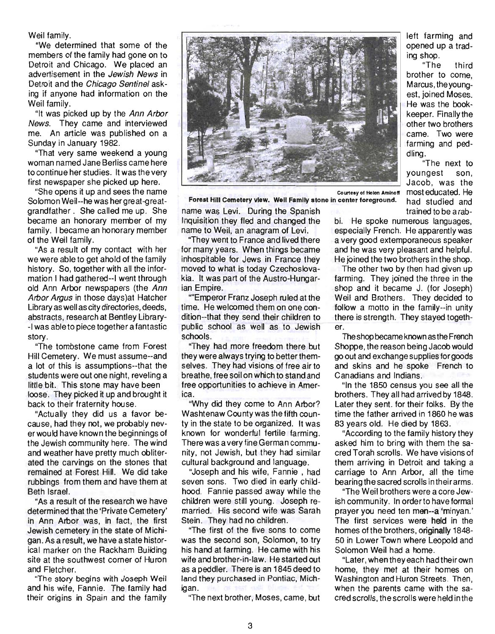Weil family.

"We determined that some of the members of the family had gone on to Detroit and Chicago. We placed an advertisement in the Jewish News in Detroit and the Chicago Sentinel asking if anyone had information on the Weil family.

"It was picked up by the Ann Arbor News. They came and interviewed me. An article was published on a Sunday in January 1982.

"That very same weekend a young woman named Jane Berliss came here to continue her studies. It was the very first newspaper she picked up here.

"She opens it up and sees the name Solomon Weil--he was her great-greatgrandfather . She called me up. She became an honorary member of my family. I became an honorary member of the Weil family.

"As a result of my contact with her we were able to get ahold of the family history. So, together with all the information I had gathered--I went through old Ann Arbor newspapers (the Ann Arbor Argus in those days)at Hatcher Library as well as city directories, deeds, abstracts, research at Bentley Library- -I was ableto piece together a fantastic story.

"The tombstone came from Forest Hill Cemetery. We must assume--and a lot of this is assumptions--that the students were out one night, reveling a little bit. This stone may have been loose. They picked it up and brought it back to their fraternity house.

"Actually they did us a favor because, had they not, we probably never would have known the beginnings of the Jewish community here. The wind and weather have pretty much obliterated the carvings on the stones that remained at Forest Hill. We did take rubbings from them and have them at Beth Israel.

"As a result of the research we have determined that the 'Private Cemetery' in Ann Arbor was, in fact, the first Jewish cemetery in the state of Michigan. As a result, we have a state historical marker on the Rackham Building site at the southwest corner of Huron and Fletcher.

' ''The story begins with Joseph Weil and his wife, Fannie. The family had their origins in Spain and the family



Forest Hili Cemetery view. Well Family stone in center foreground.

name was Levi. During the Spanish Inquisition they fled and changed the name to Weil, an anagram of Levi.

"They went to France and lived there for many years. When things became inhospitable for Jews in France they moved to what is today Czechoslovakia. It was part of the Austro-Hungarian Empire.

''''Emperor Franz Joseph ruled at the time. He welcomed them on one condition--that they send their children to public school as well as to Jewish schools.

"They had more freedom there but they were always trying to better themselves. They had visions of free air to breathe, free soil on which to stand and free opportunities to achieve in America.

"Why did they come to Ann Arbor? Washtenaw County was the fifth county in the state to be organized. It was known for wonderful fertile farming. There was a very fine German community, not Jewish, but they had similar cultural background and language.

"Joseph and his wife, Fannie , had seven sons. Two died in early childhood. Fannie passed away while the children were still young. Joseph remarried. His second wife was Sarah Stein. They had no children.

"The first of the five sons to come was the second son, Solomon, to try his hand at farming. He came with his wife and brother-in-law. He started out as a peddler. There is an 1845 deed to land they purchased in Pontiac, Michigan.

"The next brother, Moses, came, but

left farming and opened up a trading shop.

"The third brother to come, Marcus, the youngest, joined Moses. He was the bookkeeper. Finally the other two brothers came. Two were farming and peddling.

"The next to youngest son, Jacob, was the most educated. He had studied and trained to be a rab-

bi. He spoke numerous languages, especially French. He apparently was a very good extemporaneous speaker

and he was very pleasant and helpful. He joined the two brothers in the shop. The other two by then had given up

farming. They joined the three in the shop and it became J. (for Joseph) Weil and Brothers. They decided to follow a motto in the family--in unity there is strength. They stayed together.

The shop became known as the French Shoppe, the reason being Jacob would go out and exchange supplies for goods and skins and he spoke French to Canadians and Indians.

"In the 1850 census you see all the brothers. They all had arrived by 1848. Later they sent. for their folks. By the time the father arrived in 1860 he was 83 years old. He died by 1863.

"According to the family history they asked him to bring with them the sacred Torah scrolls. We have visions of them arriving in Detroit and taking a carriage to Ann Arbor, all the time bearing the sacred scrolls in their arms.

"The Weil brothers were a core Jewish community. In orderto have formal prayer you need ten men--a 'minyan.' The first services were held in the homes of the brothers, originally 1848-50 in Lower Town where Leopold and Solomon Weil had a home.

"Later, when they each had their own home, they met at their homes on Washington and Huron Streets. Then, when the parents came with the sacred scrolls, the scrolls were held in the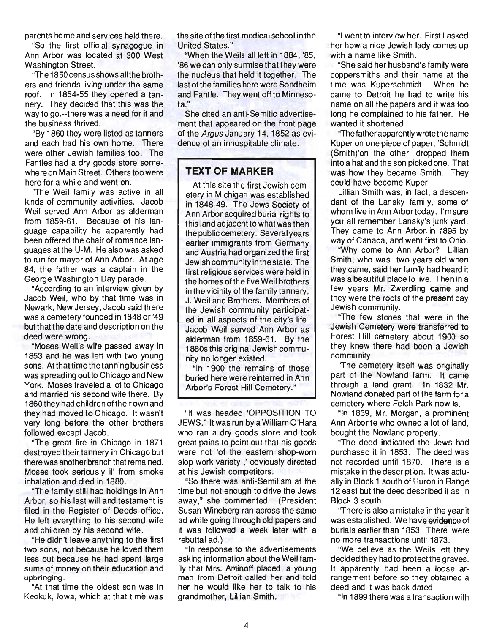parents home and services held there.

"So the first official synagogue in Ann Arbor was located at 300 West Washington Street.

"The 1850 census shows all the brothers and friends living under the same roof. In 1854-55 they opened a tannery. They decided that this was the way to go.--there was a need for it and the business thrived.

"By 1860 they were listed as tanners and each had his own home. There were other Jewish families too. The Fantles had a dry goods store somewhere on Main Street. Others too were here for a while and went on.

"The Weil family was active in all kinds of community activities. Jacob Weil served Ann Arbor as alderman from 1859-61. Because of his language capability he apparently had been offered the chair of romance languages at the U-M. He also was asked to run for mayor of Ann Arbor. At age 84, the father was a captain in the George Washington Day parade.

"According to an interview given by Jacob Weil, who by that time was in Newark, New Jersey, Jacob said there was a cemetery founded in 1848 or '49 but that the date and description on the deed were wrong.

"Moses Weil's wife passed away in 1853 and he was left with two young sons. At that time the tanning business was spreading out to Chicago and New York. Moses traveled a lot to Chicago and married his second wife there. By 1860 they had children of their own and they had moved to Chicago. It wasn't very long before the other brothers followed except Jacob.

"The great fire in Chicago in 1871 destroyed their tannery in Chicago but there was another branch that remained. Moses took seriously ill from smoke inhalation and died in 1880.

"The family still had holdings in Ann Arbor, so his last will and testament is filed in the Register of Deeds office. He left everything to his second wife and children by his second wife.

"He didn't leave anything to the first two sons, not because he loved them less but because he had spent large sums of money on their education and upbringing.

"At that time the oldest son was in Keokuk, Iowa, which at that time was the site ofthe first medical school in the United States."

"When the Weils all left in 1884, '85, '86 we can only surmise that they were the nucleus that held it together. The last of the families here were Sondheim and Fantle. They went off to Minnesota."

She cited an anti-Semitic advertisement that appeared on the front page of the Argus January 14, 1852 as evidence of an inhospitable climate.

### **TEXT OF MARKER**

At this site the first Jewish cemetery in Michigan was established in 1848-49. The Jews Society of Ann Arbor acquired burial rights to this land adjacent to what was then the public cemetery. Severalyears earlier immigrants from Germany and Austria had organized the first Jewishcommunityinthestate. The first religious services were held in the homes of the five Weil brothers in the vicinity of the family tannery, J. Weil and Brothers. Members of the Jewish community participated in all aspects of the city's life. Jacob Weil served Ann Arbor as alderman from 1859-61. By the 1880s this original Jewish community no longer existed.

"In 1900 the remains of those buried here were reinterred in Ann Arbor's Forest Hill Cemetery."

"It was headed 'OPPOSITION TO JEWS." It was run by a William O'Hara who ran a dry goods store and took great pains to point out that his goods were not 'of the eastern shop-worn slop work variety,' obviously directed at his Jewish competitors.

"So there was anti-Semitism at the time but not enough to drive the Jews away," she commented. (President Susan Wineberg ran across the same ad while going through old papers and it was followed a week later with a rebuttal ad.)

"In response to the advertisements asking information about the Weil family that Mrs. Aminoff placed, a young man from Detroit called her and told her he would like her to talk to his grandmother, Lillian Smith.

"I went to interview her. First I asked her how a nice Jewish lady comes up with a name like Smith.

"She said her husband's family were coppersmiths and their name at the time was Kuperschmidt. When he came to Detroit he had to write his name on all the papers and it was too long he complained to his father. He wanted it shortened.

"The father apparently wrote the name Kuper on one piece of paper, 'Schmidt (Smith)'on the other, dropped them into a hat and the son picked one. That was how they became Smith. They could have become Kuper.

Lillian Smith was, in fact, a descendant of the Lansky family, some of whom live in Ann Arbor today. I'm sure you all remember Lansky's junk yard. They came to Ann Arbor in 1895 by way of Canada, and went first to Ohio.

"Why come to Ann Arbor? Lillian Smith, who was two years old when they came, said her family had heard it was a beautiful place to live. Then in a few years Mr. Zwerdling came and they were the roots of the present day Jewish community.

"The few stones that were in the Jewish Cemetery were transferred to Forest Hill cemetery about 1900 so they knew there had been a Jewish community.

"The cemetery itself was originally part of the Nowland farm. It came through a land grant. In 1832 Mr. Nowland donated part of the farm for a cemetery where Felch Park now is.

"In 1839, Mr. Morgan, a prominent Ann Arborite who owned a lot of land, bought the Nowland property.

"The deed indicated the Jews had purchased it in 1853. The deed was not recorded until 1870. There is a mistake in the description. It was actually in Block 1 south of Huron in Range 12 east but the deed described it as in Block 3 south.

"There is also a mistake in the year it was established. We have evidence of burials earlier than 1853. There were no more transactions until 1873.

"We believe as the Weils left they decided they had to protect the graves. It apparently had been a loose arrangement before so they obtained a deed and it was back dated.

"In 1899 there was a transaction with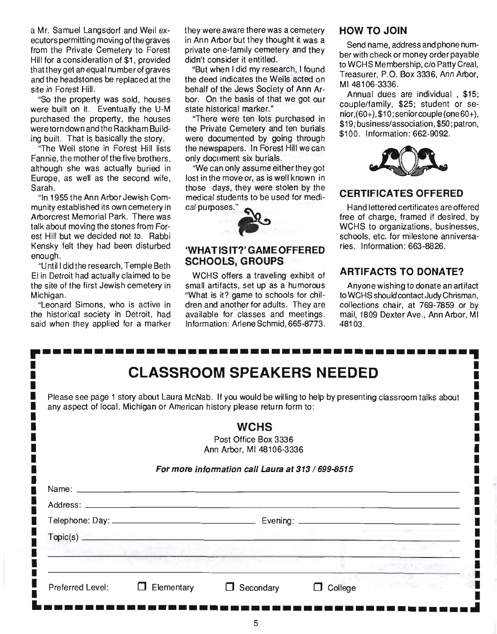a Mr. Samuel Langsdorf and Weil executors permitting moving ofthe graves from the Private Cemetery to Forest Hill for a consideration of \$1, provided that they get an equal number of graves and the headstones be replaced at the site in Forest Hill.

"So the property was sold, houses were built on it. Eventually the U-M purchased the property, the houses were torn down and the Rackham Building built. That is basically the story.

"The Weil stone in Forest Hill lists Fannie, the mother of the five brothers. although she was actually buried in Europe, as well as the second wife, Sarah.

"In 1955 the Ann Arbor Jewish Community established its own cemetery in Arborcrest Memorial Park. There was talk about moving the stones from Forest Hill but we decided not to. Rabbi Kensky felt they had been disturbed enough.

"Until I did the research, Temple Beth EI in Detroit had actually claimed to be the site of the first Jewish cemetery in Michigan.

"Leonard Simons, who is active in the historical society in Detroit, had said when they applied for a marker they were aware there was a cemetery in Ann Arbor but they thought it was a private one-family cemetery and they didn't consider it entitled.

"But when I did my research, I found the deed indicates the Weils acted on behalf of the Jews Society of Ann Arbor. On the basis of that we got our state historical marker."

"There were ten lots purchased in the Private Cemetery and ten burials were documented by going through the newspapers. In Forest Hill we can only document six burials.

"We can only assume either they got lost in the move or, as is well known in those days, they were stolen by the medical students to be used for medithose days, they were stolen t<br>medical students to be used for<br>cal purposes."



#### **'WHAT IS IT?' GAME OFFERED SCHOOLS, GROUPS**

WCHS offers a traveling exhibit of small artifacts, set up as a humorous "What is it? game to schools for children and another for adults. They are available for classes and meetings. Information: Arlene Schmid, 665-8773.

### HOW TO JOIN

Send name, address and phone number with check or money order payable to WCHS Membership, c/o Patty Creal, Treasurer, P.O. Box 3336, Ann Arbor, MI48106-3336.

Annual dues are individual , \$15; couple/family, \$25; student or se $nior.(60+)$ , \$10; senior couple (one 60+). \$19; business/association, \$50; patron, \$100. Information: 662-9092.



## **CERTIFICATES OFFERED**

Hand lettered certificates are offered free of charge, framed if desired, by WCHS to organizations, businesses, schools, etc. for milestone anniversaries. Information: 663-8826.

## **ARTIFACTS TO DONATE?**

Anyone wishing to donate an artifact to WCHS should contact Judy Chrisman, collections chair, at 769-7859 or by mail, 1809 Dexter Ave., Ann Arbor, MI 48103.

|                     | <b>CLASSROOM SPEAKERS NEEDED</b>                                         |                                                                                                                |
|---------------------|--------------------------------------------------------------------------|----------------------------------------------------------------------------------------------------------------|
|                     | any aspect of local, Michigan or American history please return form to: | Please see page 1 story about Laura McNab. If you would be willing to help by presenting classroom talks about |
|                     | <b>WCHS</b>                                                              |                                                                                                                |
|                     | Post Office Box 3336                                                     |                                                                                                                |
|                     | Ann Arbor, MI 48106-3336                                                 |                                                                                                                |
|                     | For more information call Laura at 313 / 699-8515                        |                                                                                                                |
|                     |                                                                          |                                                                                                                |
| Name: $\frac{1}{2}$ |                                                                          |                                                                                                                |
|                     |                                                                          |                                                                                                                |
|                     |                                                                          |                                                                                                                |
|                     |                                                                          |                                                                                                                |
|                     | $\mathsf{Topic}(\mathbf{s})$ . Topic(s)                                  |                                                                                                                |
|                     |                                                                          |                                                                                                                |